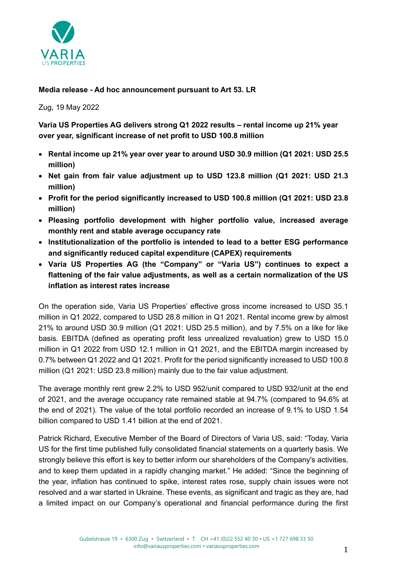

# **Media release - Ad hoc announcement pursuant to Art 53. LR**

Zug, 19 May 2022

**Varia US Properties AG delivers strong Q1 2022 results – rental income up 21% year over year, significant increase of net profit to USD 100.8 million**

- **Rental income up 21% year over year to around USD 30.9 million (Q1 2021: USD 25.5 million)**
- **Net gain from fair value adjustment up to USD 123.8 million (Q1 2021: USD 21.3 million)**
- **Profit for the period significantly increased to USD 100.8 million (Q1 2021: USD 23.8 million)**
- **Pleasing portfolio development with higher portfolio value, increased average monthly rent and stable average occupancy rate**
- **Institutionalization of the portfolio is intended to lead to a better ESG performance and significantly reduced capital expenditure (CAPEX) requirements**
- **Varia US Properties AG (the "Company" or "Varia US") continues to expect a flattening of the fair value adjustments, as well as a certain normalization of the US inflation as interest rates increase**

On the operation side, Varia US Properties' effective gross income increased to USD 35.1 million in Q1 2022, compared to USD 28.8 million in Q1 2021. Rental income grew by almost 21% to around USD 30.9 million (Q1 2021: USD 25.5 million), and by 7.5% on a like for like basis. EBITDA (defined as operating profit less unrealized revaluation) grew to USD 15.0 million in Q1 2022 from USD 12.1 million in Q1 2021, and the EBITDA margin increased by 0.7% between Q1 2022 and Q1 2021. Profit for the period significantly increased to USD 100.8 million (Q1 2021: USD 23.8 million) mainly due to the fair value adjustment.

The average monthly rent grew 2.2% to USD 952/unit compared to USD 932/unit at the end of 2021, and the average occupancy rate remained stable at 94.7% (compared to 94.6% at the end of 2021). The value of the total portfolio recorded an increase of 9.1% to USD 1.54 billion compared to USD 1.41 billion at the end of 2021.

Patrick Richard, Executive Member of the Board of Directors of Varia US, said: "Today, Varia US for the first time published fully consolidated financial statements on a quarterly basis. We strongly believe this effort is key to better inform our shareholders of the Company's activities, and to keep them updated in a rapidly changing market." He added: "Since the beginning of the year, inflation has continued to spike, interest rates rose, supply chain issues were not resolved and a war started in Ukraine. These events, as significant and tragic as they are, had a limited impact on our Company's operational and financial performance during the first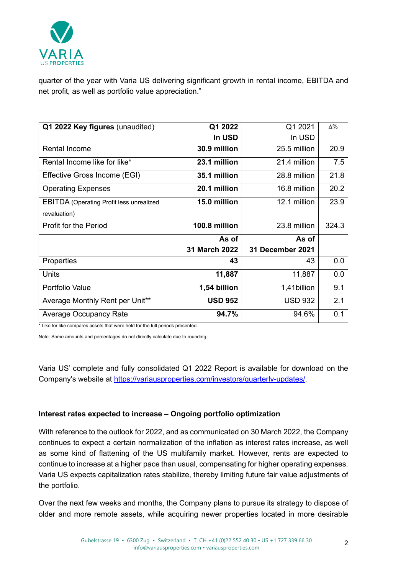

quarter of the year with Varia US delivering significant growth in rental income, EBITDA and net profit, as well as portfolio value appreciation."

| Q1 2022 Key figures (unaudited)                 | Q1 2022        | Q1 2021                 | $\Delta\%$ |
|-------------------------------------------------|----------------|-------------------------|------------|
|                                                 |                |                         |            |
|                                                 | In USD         | In USD                  |            |
| <b>Rental Income</b>                            | 30.9 million   | 25.5 million            | 20.9       |
| Rental Income like for like*                    | 23.1 million   | 21.4 million            | 7.5        |
| Effective Gross Income (EGI)                    | 35.1 million   | 28.8 million            | 21.8       |
| <b>Operating Expenses</b>                       | 20.1 million   | 16.8 million            | 20.2       |
| <b>EBITDA</b> (Operating Profit less unrealized | 15.0 million   | 12.1 million            | 23.9       |
| revaluation)                                    |                |                         |            |
| <b>Profit for the Period</b>                    | 100.8 million  | 23.8 million            | 324.3      |
|                                                 | As of          | As of                   |            |
|                                                 |                |                         |            |
|                                                 | 31 March 2022  | <b>31 December 2021</b> |            |
| Properties                                      | 43             | 43                      | 0.0        |
| Units                                           | 11,887         | 11,887                  | 0.0        |
| Portfolio Value                                 | 1,54 billion   | 1,41billion             | 9.1        |
| Average Monthly Rent per Unit**                 | <b>USD 952</b> | <b>USD 932</b>          | 2.1        |

\* Like for like compares assets that were held for the full periods presented.

Note: Some amounts and percentages do not directly calculate due to rounding.

Varia US' complete and fully consolidated Q1 2022 Report is available for download on the Company's website at [https://variausproperties.com/investors/quarterly-updates/.](https://variausproperties.com/investors/quarterly-updates/)

## **Interest rates expected to increase – Ongoing portfolio optimization**

With reference to the outlook for 2022, and as communicated on 30 March 2022, the Company continues to expect a certain normalization of the inflation as interest rates increase, as well as some kind of flattening of the US multifamily market. However, rents are expected to continue to increase at a higher pace than usual, compensating for higher operating expenses. Varia US expects capitalization rates stabilize, thereby limiting future fair value adjustments of the portfolio.

Over the next few weeks and months, the Company plans to pursue its strategy to dispose of older and more remote assets, while acquiring newer properties located in more desirable